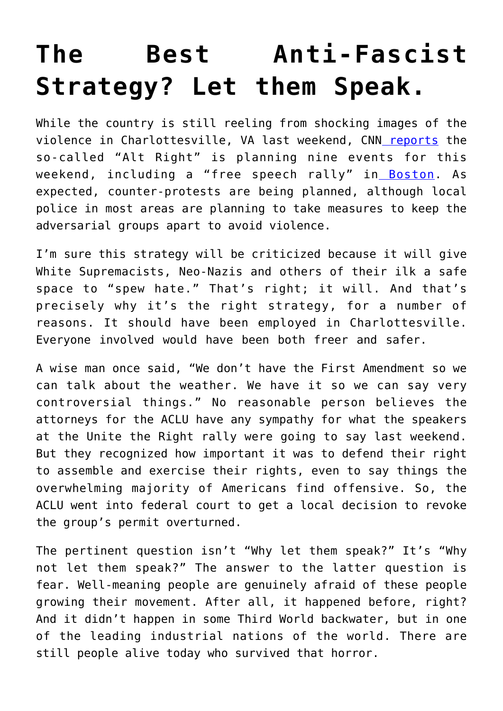## **[The Best Anti-Fascist](https://intellectualtakeout.org/2017/08/the-best-anti-fascist-strategy-let-them-speak/) [Strategy? Let them Speak.](https://intellectualtakeout.org/2017/08/the-best-anti-fascist-strategy-let-them-speak/)**

While the country is still reeling from shocking images of the violence in Charlottesville, VA last weekend, C[N](http://www.cnn.com/2017/08/15/us/white-nationalists-protests-tally-trnd/index.html)N [reports](http://www.cnn.com/2017/08/15/us/white-nationalists-protests-tally-trnd/index.html) the so-called "Alt Right" is planning nine events for this weekend, including a "free speech rally" in [Boston.](https://www.boston.com/news/local-news/2017/08/15/what-we-know-about-the-free-speech-rally-planned-this-weekend-on-boston-common) As expected, counter-protests are being planned, although local police in most areas are planning to take measures to keep the adversarial groups apart to avoid violence.

I'm sure this strategy will be criticized because it will give White Supremacists, Neo-Nazis and others of their ilk a safe space to "spew hate." That's right; it will. And that's precisely why it's the right strategy, for a number of reasons. It should have been employed in Charlottesville. Everyone involved would have been both freer and safer.

A wise man once said, "We don't have the First Amendment so we can talk about the weather. We have it so we can say very controversial things." No reasonable person believes the attorneys for the ACLU have any sympathy for what the speakers at the Unite the Right rally were going to say last weekend. But they recognized how important it was to defend their right to assemble and exercise their rights, even to say things the overwhelming majority of Americans find offensive. So, the ACLU went into federal court to get a local decision to revoke the group's permit overturned.

The pertinent question isn't "Why let them speak?" It's "Why not let them speak?" The answer to the latter question is fear. Well-meaning people are genuinely afraid of these people growing their movement. After all, it happened before, right? And it didn't happen in some Third World backwater, but in one of the leading industrial nations of the world. There are still people alive today who survived that horror.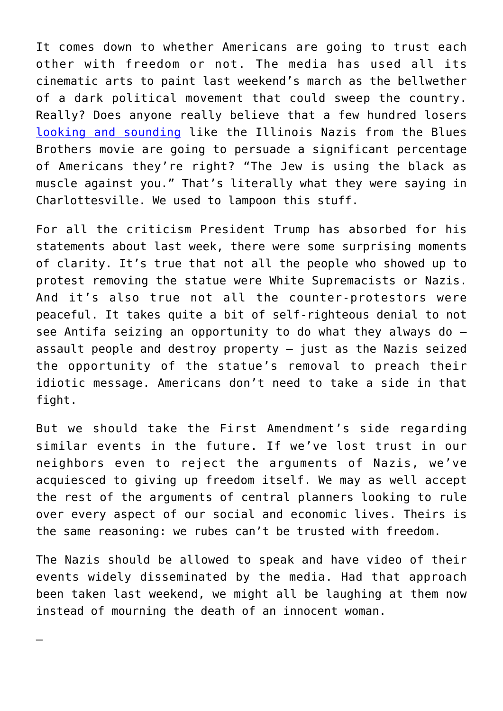It comes down to whether Americans are going to trust each other with freedom or not. The media has used all its cinematic arts to paint last weekend's march as the bellwether of a dark political movement that could sweep the country. Really? Does anyone really believe that a few hundred losers [looking and sounding](https://www.youtube.com/watch?v=ZTT1qUswYL0) like the Illinois Nazis from the Blues Brothers movie are going to persuade a significant percentage of Americans they're right? "The Jew is using the black as muscle against you." That's literally what they were saying in Charlottesville. We used to lampoon this stuff.

For all the criticism President Trump has absorbed for his statements about last week, there were some surprising moments of clarity. It's true that not all the people who showed up to protest removing the statue were White Supremacists or Nazis. And it's also true not all the counter-protestors were peaceful. It takes quite a bit of self-righteous denial to not see Antifa seizing an opportunity to do what they always do – assault people and destroy property  $-$  just as the Nazis seized the opportunity of the statue's removal to preach their idiotic message. Americans don't need to take a side in that fight.

But we should take the First Amendment's side regarding similar events in the future. If we've lost trust in our neighbors even to reject the arguments of Nazis, we've acquiesced to giving up freedom itself. We may as well accept the rest of the arguments of central planners looking to rule over every aspect of our social and economic lives. Theirs is the same reasoning: we rubes can't be trusted with freedom.

The Nazis should be allowed to speak and have video of their events widely disseminated by the media. Had that approach been taken last weekend, we might all be laughing at them now instead of mourning the death of an innocent woman.

—